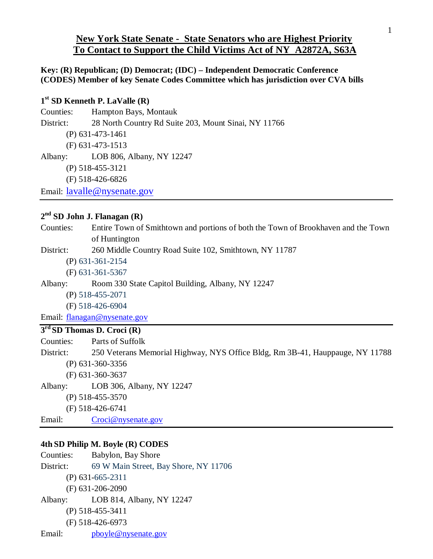#### **New York State Senate - State Senators who are Highest Priority To Contact to Support the Child Victims Act of NY A2872A, S63A**

**Key: (R) Republican; (D) Democrat; (IDC) – Independent Democratic Conference (CODES) Member of key Senate Codes Committee which has jurisdiction over CVA bills**

### **1 st SD Kenneth P. LaValle (R)**

Counties: Hampton Bays, Montauk District: 28 North Country Rd Suite 203, Mount Sinai, NY 11766 (P) 631-473-1461 (F) 631-473-1513 Albany: LOB 806, Albany, NY 12247 (P) 518-455-3121 (F) 518-426-6826

Email: lavalle@nysenate.gov

### **2 nd SD John J. Flanagan (R)**

Counties: Entire Town of Smithtown and portions of both the Town of Brookhaven and the Town of Huntington

District: 260 Middle Country Road Suite 102, Smithtown, NY 11787

(P) 631-361-2154

(F) 631-361-5367

Albany: Room 330 State Capitol Building, Albany, NY 12247

(P) 518-455-2071

(F) 518-426-6904

Email: flanagan@nysenate.gov

### **3 rd SD Thomas D. Croci (R)**

Counties: Parts of Suffolk

District: 250 Veterans Memorial Highway, NYS Office Bldg, Rm 3B-41, Hauppauge, NY 11788 (P) 631-360-3356

(F) 631-360-3637

Albany: LOB 306, Albany, NY 12247

(P) 518-455-3570

(F) 518-426-6741

Email: Croci@nysenate.gov

#### **4th SD Philip M. Boyle (R) CODES**

Counties: Babylon, Bay Shore District: 69 W Main Street, Bay Shore, NY 11706 (P) 631-665-2311 (F) 631-206-2090 Albany: LOB 814, Albany, NY 12247 (P) 518-455-3411 (F) 518-426-6973 Email: pboyle@nysenate.gov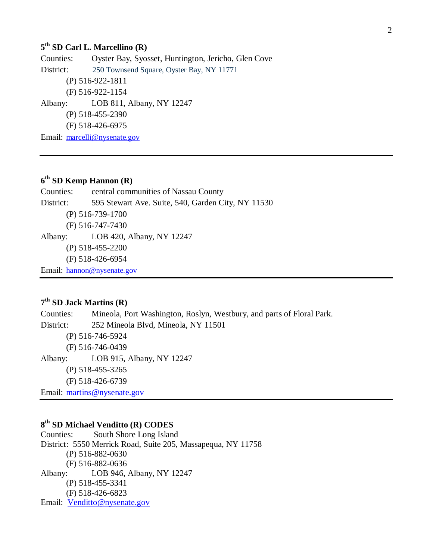### **5 th SD Carl L. Marcellino (R)**

Counties: Oyster Bay, Syosset, Huntington, Jericho, Glen Cove District: 250 Townsend Square, Oyster Bay, NY 11771 (P) 516-922-1811 (F) 516-922-1154 Albany: LOB 811, Albany, NY 12247 (P) 518-455-2390 (F) 518-426-6975 Email: marcelli@nysenate.gov

### **6 th SD Kemp Hannon (R)**

Counties: central communities of Nassau County District: 595 Stewart Ave. Suite, 540, Garden City, NY 11530 (P) 516-739-1700 (F) 516-747-7430 Albany: LOB 420, Albany, NY 12247 (P) 518-455-2200 (F) 518-426-6954 Email: hannon@nysenate.gov

### **7 th SD Jack Martins (R)**

Counties: Mineola, Port Washington, Roslyn, Westbury, and parts of Floral Park. District: 252 Mineola Blvd, Mineola, NY 11501 (P) 516-746-5924 (F) 516-746-0439 Albany: LOB 915, Albany, NY 12247 (P) 518-455-3265 (F) 518-426-6739 Email: martins@nysenate.gov

### **8 th SD Michael Venditto (R) CODES**

Counties: South Shore Long Island District: 5550 Merrick Road, Suite 205, Massapequa, NY 11758 (P) 516-882-0630 (F) 516-882-0636 Albany: LOB 946, Albany, NY 12247 (P) 518-455-3341 (F) 518-426-6823 Email: Venditto@nysenate.gov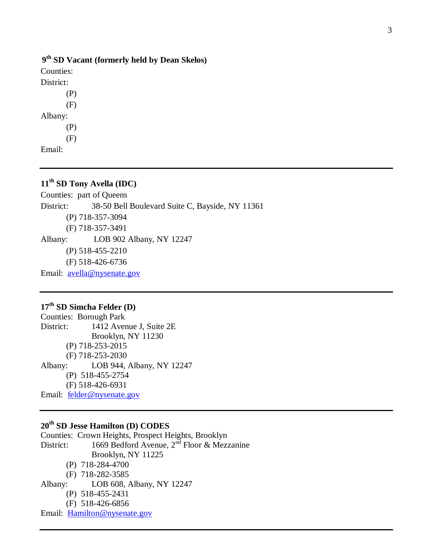### **9 th SD Vacant (formerly held by Dean Skelos)**

Counties:

District:

(P)

(F)

Albany:

(P)

(F) Email:

### **11th SD Tony Avella (IDC)**

Counties: part of Queens District: 38-50 Bell Boulevard Suite C, Bayside, NY 11361 (P) 718-357-3094 (F) 718-357-3491 Albany: LOB 902 Albany, NY 12247 (P) 518-455-2210 (F) 518-426-6736 Email: avella@nysenate.gov

## **17th SD Simcha Felder (D)**

Counties: Borough Park District: 1412 Avenue J, Suite 2E Brooklyn, NY 11230 (P) 718-253-2015 (F) 718-253-2030 Albany: LOB 944, Albany, NY 12247 (P) 518-455-2754 (F) 518-426-6931 Email: felder@nysenate.gov

## **20th SD Jesse Hamilton (D) CODES**

Counties: Crown Heights, Prospect Heights, Brooklyn District: 1669 Bedford Avenue,  $2<sup>nd</sup>$  Floor & Mezzanine Brooklyn, NY 11225 (P) 718-284-4700 (F) 718-282-3585 Albany: LOB 608, Albany, NY 12247 (P) 518-455-2431 (F) 518-426-6856 Email: Hamilton@nysenate.gov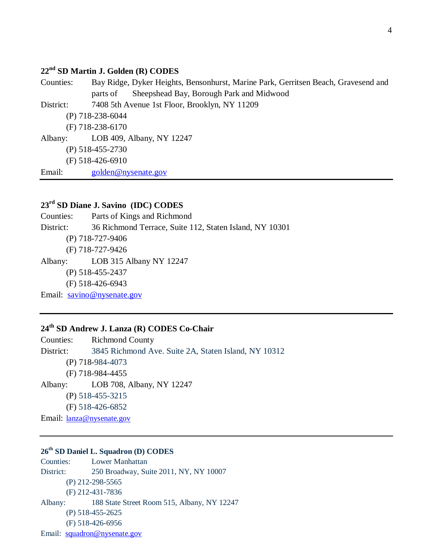### **22nd SD Martin J. Golden (R) CODES**

Counties: Bay Ridge, Dyker Heights, Bensonhurst, Marine Park, Gerritsen Beach, Gravesend and parts of Sheepshead Bay, Borough Park and Midwood District: 7408 5th Avenue 1st Floor, Brooklyn, NY 11209 (P) 718-238-6044 (F) 718-238-6170 Albany: LOB 409, Albany, NY 12247 (P) 518-455-2730 (F) 518-426-6910 Email: golden@nysenate.gov

#### **23rd SD Diane J. Savino (IDC) CODES**

Counties: Parts of Kings and Richmond District: 36 Richmond Terrace, Suite 112, Staten Island, NY 10301 (P) 718-727-9406 (F) 718-727-9426 Albany: LOB 315 Albany NY 12247 (P) 518-455-2437 (F) 518-426-6943 Email: savino@nysenate.gov

### **24th SD Andrew J. Lanza (R) CODES Co-Chair**

Counties: Richmond County District: 3845 Richmond Ave. Suite 2A, Staten Island, NY 10312 (P) 718-984-4073 (F) 718-984-4455 Albany: LOB 708, Albany, NY 12247 (P) 518-455-3215 (F) 518-426-6852 Email: <u>lanza@nysenate.gov</u>

#### **26th SD Daniel L. Squadron (D) CODES**

Counties: Lower Manhattan District: 250 Broadway, Suite 2011, NY, NY 10007 (P) 212-298-5565 (F) 212-431-7836 Albany: 188 State Street Room 515, Albany, NY 12247 (P) 518-455-2625 (F) 518-426-6956 Email: squadron@nysenate.gov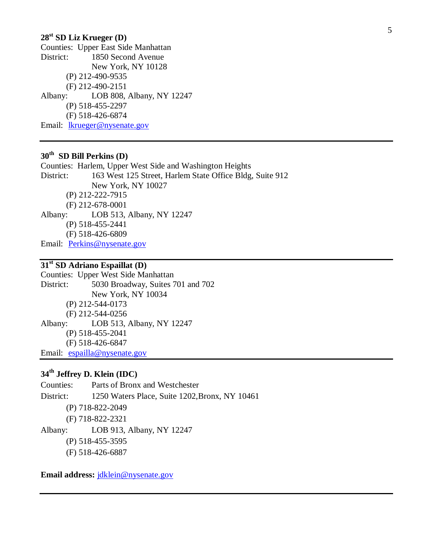### **28st SD Liz Krueger (D)**

Counties: Upper East Side Manhattan District: 1850 Second Avenue New York, NY 10128 (P) 212-490-9535 (F) 212-490-2151 Albany: LOB 808, Albany, NY 12247 (P) 518-455-2297 (F) 518-426-6874 Email: <u>lkrueger@nysenate.gov</u>

### **30th SD Bill Perkins (D)**

Counties: Harlem, Upper West Side and Washington Heights District: 163 West 125 Street, Harlem State Office Bldg, Suite 912 New York, NY 10027 (P) 212-222-7915 (F) 212-678-0001 Albany: LOB 513, Albany, NY 12247 (P) 518-455-2441 (F) 518-426-6809 Email: Perkins@nysenate.gov

### **31st SD Adriano Espaillat (D)**

Counties: Upper West Side Manhattan District: 5030 Broadway, Suites 701 and 702 New York, NY 10034 (P) 212-544-0173 (F) 212-544-0256 Albany: LOB 513, Albany, NY 12247 (P) 518-455-2041 (F) 518-426-6847 Email: espailla@nysenate.gov

### **34 th Jeffrey D. Klein (IDC)**

Counties: Parts of Bronx and Westchester District: 1250 Waters Place, Suite 1202,Bronx, NY 10461 (P) 718-822-2049 (F) 718-822-2321 Albany: LOB 913, Albany, NY 12247 (P) 518-455-3595 (F) 518-426-6887

**Email address:** jdklein@nysenate.gov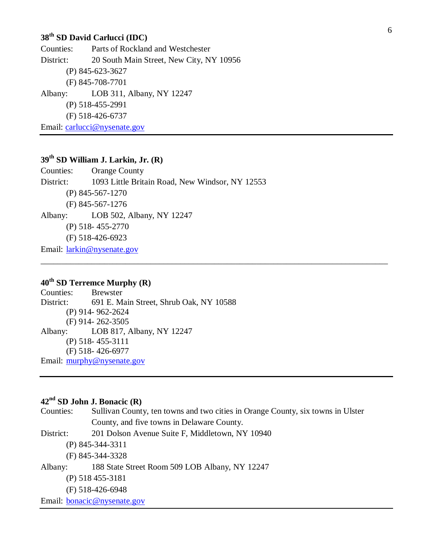### **38th SD David Carlucci (IDC)**

Counties: Parts of Rockland and Westchester District: 20 South Main Street, New City, NY 10956 (P) 845-623-3627 (F) 845-708-7701 Albany: LOB 311, Albany, NY 12247 (P) 518-455-2991 (F) 518-426-6737 Email: carlucci@nysenate.gov

## **39th SD William J. Larkin, Jr. (R)**

Counties: Orange County District: 1093 Little Britain Road, New Windsor, NY 12553 (P) 845-567-1270 (F) 845-567-1276 Albany: LOB 502, Albany, NY 12247 (P) 518- 455-2770 (F) 518-426-6923 Email: larkin@nysenate.gov \_\_\_\_\_\_\_\_\_\_\_\_\_\_\_\_\_\_\_\_\_\_\_\_\_\_\_\_\_\_\_\_\_\_\_\_\_\_\_\_\_\_\_\_\_\_\_\_\_\_\_\_\_\_\_\_\_\_\_\_\_\_\_\_\_\_\_\_\_\_\_\_\_\_\_\_\_\_\_\_\_\_

## **40th SD Terremce Murphy (R)**

Counties: Brewster District: 691 E. Main Street, Shrub Oak, NY 10588 (P) 914- 962-2624 (F) 914- 262-3505 Albany: LOB 817, Albany, NY 12247 (P) 518- 455-3111 (F) 518- 426-6977 Email: murphy@nysenate.gov

### **42nd SD John J. Bonacic (R)**

Counties: Sullivan County, ten towns and two cities in Orange County, six towns in Ulster County, and five towns in Delaware County. District: 201 Dolson Avenue Suite F, Middletown, NY 10940 (P) 845-344-3311 (F) 845-344-3328 Albany: 188 State Street Room 509 LOB Albany, NY 12247 (P) 518 455-3181 (F) 518-426-6948 Email: bonacic@nysenate.gov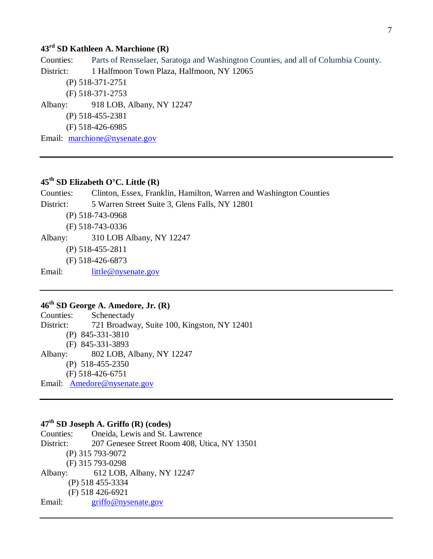### **43rd SD Kathleen A. Marchione (R)**

Counties: Parts of Rensselaer, Saratoga and Washington Counties, and all of Columbia County. District: 1 Halfmoon Town Plaza, Halfmoon, NY 12065 (P) 518-371-2751 (F) 518-371-2753 Albany: 918 LOB, Albany, NY 12247 (P) 518-455-2381 (F) 518-426-6985 Email: marchione@nysenate.gov

#### **45th SD Elizabeth O'C. Little (R)**

Counties: Clinton, Essex, Franklin, Hamilton, Warren and Washington Counties District: 5 Warren Street Suite 3, Glens Falls, NY 12801 (P) 518-743-0968 (F) 518-743-0336 Albany: 310 LOB Albany, NY 12247 (P) 518-455-2811 (F) 518-426-6873 Email: little@nysenate.gov

### **46 th SD George A. Amedore, Jr. (R)**

Counties: Schenectady District: 721 Broadway, Suite 100, Kingston, NY 12401 (P) 845-331-3810 (F) 845-331-3893 Albany: 802 LOB, Albany, NY 12247 (P) 518-455-2350 (F) 518-426-6751 Email: Amedore@nysenate.gov

### **47th SD Joseph A. Griffo (R) (codes)**

Counties: Oneida, Lewis and St. Lawrence District: 207 Genesee Street Room 408, Utica, NY 13501 (P) 315 793-9072 (F) 315 793-0298 Albany: 612 LOB, Albany, NY 12247 (P) 518 455-3334 (F) 518 426-6921 Email: griffo@nysenate.gov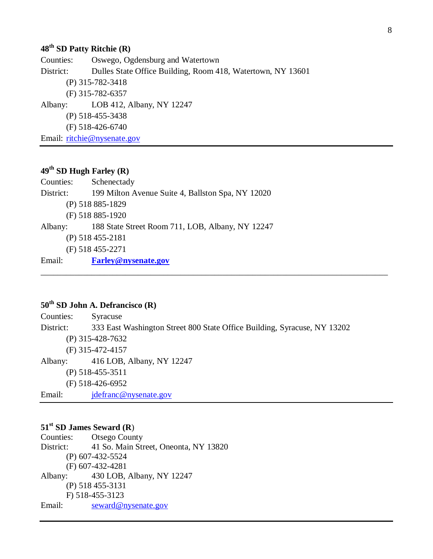### **48th SD Patty Ritchie (R)**

Counties: Oswego, Ogdensburg and Watertown District: Dulles State Office Building, Room 418, Watertown, NY 13601 (P) 315-782-3418 (F) 315-782-6357 Albany: LOB 412, Albany, NY 12247 (P) 518-455-3438 (F) 518-426-6740 Email: ritchie@nysenate.gov

### **49th SD Hugh Farley (R)**

Counties: Schenectady District: 199 Milton Avenue Suite 4, Ballston Spa, NY 12020 (P) 518 885-1829 (F) 518 885-1920 Albany: 188 State Street Room 711, LOB, Albany, NY 12247 (P) 518 455-2181 (F) 518 455-2271 Email: **Farley@nysenate.gov**

### **50th SD John A. Defrancisco (R)**

Counties: Syracuse District: 333 East Washington Street 800 State Office Building, Syracuse, NY 13202 (P) 315-428-7632 (F) 315-472-4157 Albany: 416 LOB, Albany, NY 12247 (P) 518-455-3511 (F) 518-426-6952 Email: jdefranc@nysenate.gov

\_\_\_\_\_\_\_\_\_\_\_\_\_\_\_\_\_\_\_\_\_\_\_\_\_\_\_\_\_\_\_\_\_\_\_\_\_\_\_\_\_\_\_\_\_\_\_\_\_\_\_\_\_\_\_\_\_\_\_\_\_\_\_\_\_\_\_\_\_\_\_\_\_\_\_\_\_\_\_\_\_\_

#### **51st SD James Seward (R**)

Counties: Otsego County District: 41 So. Main Street, Oneonta, NY 13820 (P) 607-432-5524 (F) 607-432-4281 Albany: 430 LOB, Albany, NY 12247 (P) 518 455-3131 F) 518-455-3123 Email: seward@nysenate.gov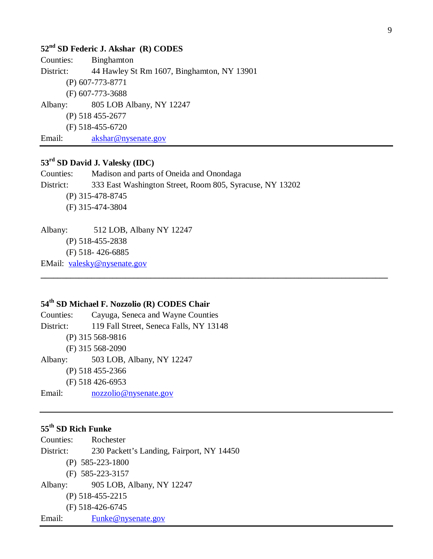### **52nd SD Federic J. Akshar (R) CODES**

Counties: Binghamton District: 44 Hawley St Rm 1607, Binghamton, NY 13901 (P) 607-773-8771 (F) 607-773-3688 Albany: 805 LOB Albany, NY 12247 (P) 518 455-2677 (F) 518-455-6720 Email: akshar@nysenate.gov

### **53rd SD David J. Valesky (IDC)**

Counties: Madison and parts of Oneida and Onondaga District: 333 East Washington Street, Room 805, Syracuse, NY 13202 (P) 315-478-8745 (F) 315-474-3804

**\_\_\_\_\_\_\_\_\_\_\_\_\_\_\_\_\_\_\_\_\_\_\_\_\_\_\_\_\_\_\_\_\_\_\_\_\_\_\_\_\_\_\_\_\_\_\_\_\_\_\_\_\_\_\_\_\_\_\_\_\_\_\_\_\_\_\_\_\_\_\_\_\_\_\_\_\_\_\_\_\_\_**

Albany: 512 LOB, Albany NY 12247 (P) 518-455-2838 (F) 518- 426-6885 EMail: valesky@nysenate.gov

# **54th SD Michael F. Nozzolio (R) CODES Chair**

Counties: Cayuga, Seneca and Wayne Counties District: 119 Fall Street, Seneca Falls, NY 13148 (P) 315 568-9816 (F) 315 568-2090 Albany: 503 LOB, Albany, NY 12247 (P) 518 455-2366 (F) 518 426-6953 Email: nozzolio@nysenate.gov

#### **55th SD Rich Funke**

Counties: Rochester District: 230 Packett's Landing, Fairport, NY 14450 (P) 585-223-1800 (F) 585-223-3157 Albany: 905 LOB, Albany, NY 12247 (P) 518-455-2215 (F) 518-426-6745 Email: Funke@nysenate.gov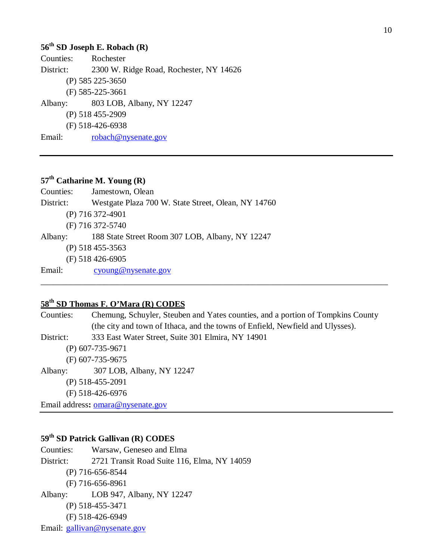#### **56th SD Joseph E. Robach (R)**

Counties: Rochester District: 2300 W. Ridge Road, Rochester, NY 14626 (P) 585 225-3650 (F) 585-225-3661 Albany: 803 LOB, Albany, NY 12247 (P) 518 455-2909 (F) 518-426-6938 Email: robach@nysenate.gov

## **57th Catharine M. Young (R)**

| Counties: | Jamestown, Olean                                    |
|-----------|-----------------------------------------------------|
| District: | Westgate Plaza 700 W. State Street, Olean, NY 14760 |
|           | (P) 716 372-4901                                    |
|           | (F) 716 372-5740                                    |
| Albany:   | 188 State Street Room 307 LOB, Albany, NY 12247     |
|           | $(P)$ 518 455-3563                                  |
|           | $(F)$ 518 426-6905                                  |
| Email:    | cyoung@nysenate.gov                                 |
|           |                                                     |

## **58th SD Thomas F. O'Mara (R) CODES**

Counties: Chemung, Schuyler, Steuben and Yates counties, and a portion of Tompkins County (the city and town of Ithaca, and the towns of Enfield, Newfield and Ulysses). District: 333 East Water Street, Suite 301 Elmira, NY 14901 (P) 607-735-9671 (F) 607-735-9675 Albany: 307 LOB, Albany, NY 12247 (P) 518-455-2091 (F) 518-426-6976 Email address: **omara@nysenate.gov** 

## **59th SD Patrick Gallivan (R) CODES**

Counties: Warsaw, Geneseo and Elma District: 2721 Transit Road Suite 116, Elma, NY 14059 (P) 716-656-8544 (F) 716-656-8961 Albany: LOB 947, Albany, NY 12247 (P) 518-455-3471 (F) 518-426-6949 Email: gallivan@nysenate.gov